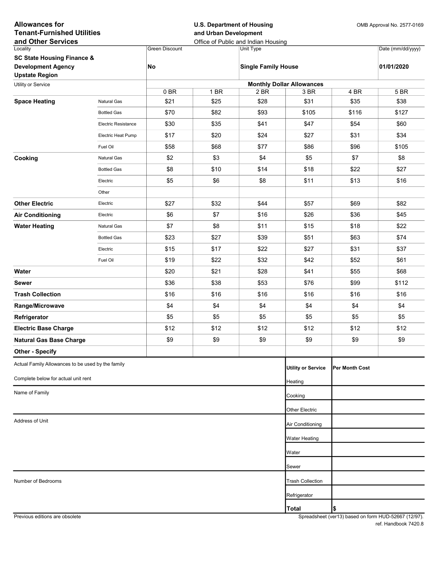| <b>Allowances for</b><br><b>Tenant-Furnished Utilities</b><br>and Other Services |                            |                       | <b>U.S. Department of Housing</b><br>and Urban Development | Office of Public and Indian Housing | OMB Approval No. 2577-0169 |                |                   |  |  |  |  |
|----------------------------------------------------------------------------------|----------------------------|-----------------------|------------------------------------------------------------|-------------------------------------|----------------------------|----------------|-------------------|--|--|--|--|
| Locality                                                                         |                            | <b>Green Discount</b> |                                                            | Unit Type                           |                            |                | Date (mm/dd/yyyy) |  |  |  |  |
| <b>SC State Housing Finance &amp;</b>                                            |                            |                       |                                                            |                                     |                            |                |                   |  |  |  |  |
| <b>Development Agency</b><br><b>Upstate Region</b>                               |                            | No                    |                                                            | <b>Single Family House</b>          |                            |                | 01/01/2020        |  |  |  |  |
| Utility or Service                                                               |                            |                       | <b>Monthly Dollar Allowances</b>                           |                                     |                            |                |                   |  |  |  |  |
|                                                                                  |                            | 0BR                   | 1 BR                                                       | 2 BR                                | 3 BR                       | 4 BR           | 5 BR              |  |  |  |  |
| <b>Space Heating</b>                                                             | Natural Gas                | \$21                  | \$25                                                       | \$28                                | \$31                       | \$35           | \$38              |  |  |  |  |
|                                                                                  | <b>Bottled Gas</b>         | \$70                  | \$82                                                       | \$93                                | \$105                      | \$116          | \$127             |  |  |  |  |
|                                                                                  | <b>Electric Resistance</b> | \$30                  | \$35                                                       | \$41                                | \$47                       | \$54           | \$60              |  |  |  |  |
|                                                                                  | Electric Heat Pump         | \$17                  | \$20                                                       | \$24                                | \$27                       | \$31           | \$34              |  |  |  |  |
|                                                                                  | Fuel Oil                   | \$58                  | \$68                                                       | \$77                                | \$86                       | \$96           | \$105             |  |  |  |  |
| Cooking                                                                          | Natural Gas                | \$2                   | \$3                                                        | \$4                                 | \$5                        | \$7            | \$8               |  |  |  |  |
|                                                                                  | <b>Bottled Gas</b>         | \$8                   | \$10                                                       | \$14                                | \$18                       | \$22           | \$27              |  |  |  |  |
|                                                                                  | Electric                   | \$5                   | \$6                                                        | \$8                                 | \$11                       | \$13           | \$16              |  |  |  |  |
|                                                                                  | Other                      |                       |                                                            |                                     |                            |                |                   |  |  |  |  |
| <b>Other Electric</b>                                                            | Electric                   | \$27                  | \$32                                                       | \$44                                | \$57                       | \$69           | \$82              |  |  |  |  |
| <b>Air Conditioning</b>                                                          | Electric                   | \$6                   | \$7                                                        | \$16                                | \$26                       | \$36           | \$45              |  |  |  |  |
| <b>Water Heating</b>                                                             | Natural Gas                | \$7                   | \$8                                                        | \$11                                | \$15                       | \$18           | \$22              |  |  |  |  |
|                                                                                  | <b>Bottled Gas</b>         | \$23                  | \$27                                                       | \$39                                | \$51                       | \$63           | \$74              |  |  |  |  |
|                                                                                  | Electric                   | \$15                  | \$17                                                       | \$22                                | \$27                       | \$31           | \$37              |  |  |  |  |
|                                                                                  | Fuel Oil                   | \$19                  | \$22                                                       | \$32                                | \$42                       | \$52           | \$61              |  |  |  |  |
| Water                                                                            |                            | \$20                  | \$21                                                       | \$28                                | \$41                       | \$55           | \$68              |  |  |  |  |
| Sewer                                                                            |                            | \$36                  | \$38                                                       | \$53                                | \$76                       | \$99           | \$112             |  |  |  |  |
| <b>Trash Collection</b>                                                          |                            | \$16                  | \$16                                                       | \$16                                | \$16                       | \$16           | \$16              |  |  |  |  |
| Range/Microwave                                                                  |                            | \$4                   | \$4                                                        | \$4                                 | \$4                        | \$4            | \$4               |  |  |  |  |
| Refrigerator                                                                     |                            | \$5                   | \$5                                                        | \$5                                 | \$5                        | \$5            | \$5               |  |  |  |  |
| <b>Electric Base Charge</b>                                                      |                            | \$12                  | \$12                                                       | \$12                                | \$12                       | \$12           | \$12              |  |  |  |  |
| <b>Natural Gas Base Charge</b>                                                   |                            | \$9                   | \$9                                                        | \$9                                 | \$9                        | \$9            | \$9               |  |  |  |  |
| <b>Other - Specify</b>                                                           |                            |                       |                                                            |                                     |                            |                |                   |  |  |  |  |
| Actual Family Allowances to be used by the family                                |                            |                       |                                                            |                                     | <b>Utility or Service</b>  | Per Month Cost |                   |  |  |  |  |
| Complete below for actual unit rent                                              |                            |                       |                                                            |                                     | Heating                    |                |                   |  |  |  |  |
| Name of Family                                                                   |                            |                       |                                                            |                                     |                            |                |                   |  |  |  |  |
|                                                                                  |                            |                       |                                                            |                                     | Cooking                    |                |                   |  |  |  |  |
|                                                                                  |                            |                       |                                                            |                                     | Other Electric             |                |                   |  |  |  |  |
| Address of Unit                                                                  |                            |                       |                                                            |                                     | Air Conditioning           |                |                   |  |  |  |  |
|                                                                                  |                            |                       |                                                            |                                     | Water Heating              |                |                   |  |  |  |  |
|                                                                                  |                            |                       |                                                            |                                     | Water                      |                |                   |  |  |  |  |
|                                                                                  |                            |                       |                                                            |                                     | Sewer                      |                |                   |  |  |  |  |
| Number of Bedrooms                                                               |                            |                       |                                                            |                                     | <b>Trash Collection</b>    |                |                   |  |  |  |  |
|                                                                                  |                            |                       |                                                            |                                     | Refrigerator               |                |                   |  |  |  |  |
|                                                                                  |                            |                       |                                                            |                                     |                            |                |                   |  |  |  |  |
|                                                                                  |                            |                       |                                                            |                                     | <b>Total</b>               | \$             |                   |  |  |  |  |

Previous editions are obsolete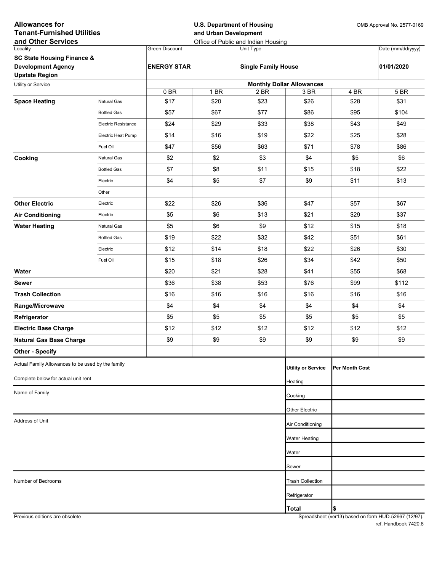| <b>Allowances for</b><br><b>Tenant-Furnished Utilities</b><br>and Other Services |                            |                       | and Urban Development | <b>U.S. Department of Housing</b><br>Office of Public and Indian Housing |                                  | OMB Approval No. 2577-0169 |                   |
|----------------------------------------------------------------------------------|----------------------------|-----------------------|-----------------------|--------------------------------------------------------------------------|----------------------------------|----------------------------|-------------------|
| Locality                                                                         |                            | <b>Green Discount</b> |                       | Unit Type                                                                |                                  |                            | Date (mm/dd/yyyy) |
| <b>SC State Housing Finance &amp;</b>                                            |                            |                       |                       |                                                                          |                                  |                            |                   |
| <b>Development Agency</b>                                                        |                            | <b>ENERGY STAR</b>    |                       | <b>Single Family House</b>                                               |                                  |                            | 01/01/2020        |
| <b>Upstate Region</b>                                                            |                            |                       |                       |                                                                          |                                  |                            |                   |
| Utility or Service                                                               |                            |                       |                       |                                                                          | <b>Monthly Dollar Allowances</b> |                            |                   |
| <b>Space Heating</b>                                                             | <b>Natural Gas</b>         | 0 BR<br>\$17          | 1 BR<br>\$20          | 2 BR<br>\$23                                                             | 3 BR<br>\$26                     | 4 BR<br>\$28               | 5 BR<br>\$31      |
|                                                                                  | <b>Bottled Gas</b>         |                       |                       |                                                                          |                                  |                            | \$104             |
|                                                                                  | <b>Electric Resistance</b> | \$57                  | \$67                  | \$77                                                                     | \$86                             | \$95                       |                   |
|                                                                                  |                            | \$24                  | \$29                  | \$33                                                                     | \$38                             | \$43                       | \$49              |
|                                                                                  | Electric Heat Pump         | \$14                  | \$16                  | \$19                                                                     | \$22                             | \$25                       | \$28              |
|                                                                                  | Fuel Oil                   | \$47                  | \$56                  | \$63                                                                     | \$71                             | \$78                       | \$86              |
| Cooking                                                                          | Natural Gas                | \$2                   | \$2                   | \$3                                                                      | \$4                              | \$5                        | \$6               |
|                                                                                  | <b>Bottled Gas</b>         | \$7                   | \$8                   | \$11                                                                     | \$15                             | \$18                       | \$22              |
|                                                                                  | Electric                   | \$4                   | \$5                   | \$7                                                                      | \$9                              | \$11                       | \$13              |
|                                                                                  | Other                      |                       |                       |                                                                          |                                  |                            |                   |
| <b>Other Electric</b>                                                            | Electric                   | \$22                  | \$26                  | \$36                                                                     | \$47                             | \$57                       | \$67              |
| <b>Air Conditioning</b>                                                          | Electric                   | \$5                   | \$6                   | \$13                                                                     | \$21                             | \$29                       | \$37              |
| <b>Water Heating</b>                                                             | <b>Natural Gas</b>         | \$5                   | \$6                   | \$9                                                                      | \$12                             | \$15                       | \$18              |
|                                                                                  | <b>Bottled Gas</b>         | \$19                  | \$22                  | \$32                                                                     | \$42                             | \$51                       | \$61              |
|                                                                                  | Electric                   | \$12                  | \$14                  | \$18                                                                     | \$22                             | \$26                       | \$30              |
|                                                                                  | Fuel Oil                   | \$15                  | \$18                  | \$26                                                                     | \$34                             | \$42                       | \$50              |
| Water                                                                            |                            | \$20                  | \$21                  | \$28                                                                     | \$41                             | \$55                       | \$68              |
| <b>Sewer</b>                                                                     |                            | \$36                  | \$38                  | \$53                                                                     | \$76                             | \$99                       | \$112             |
| <b>Trash Collection</b>                                                          |                            | \$16                  | \$16                  | \$16                                                                     | \$16                             | \$16                       | \$16              |
| Range/Microwave                                                                  |                            | \$4                   | \$4                   | \$4                                                                      | \$4                              | \$4                        | \$4               |
| Refrigerator                                                                     |                            | \$5                   | \$5                   | \$5                                                                      | \$5                              | \$5                        | \$5               |
| <b>Electric Base Charge</b>                                                      |                            | \$12                  | \$12                  | \$12                                                                     | \$12                             | \$12                       | \$12              |
| <b>Natural Gas Base Charge</b>                                                   |                            | \$9                   | \$9                   | \$9                                                                      | \$9                              | \$9                        | \$9               |
| <b>Other - Specify</b>                                                           |                            |                       |                       |                                                                          |                                  |                            |                   |
| Actual Family Allowances to be used by the family                                |                            |                       |                       |                                                                          | <b>Utility or Service</b>        | <b>Per Month Cost</b>      |                   |
| Complete below for actual unit rent                                              |                            |                       |                       |                                                                          |                                  |                            |                   |
|                                                                                  |                            |                       |                       |                                                                          | Heating                          |                            |                   |
| Name of Family                                                                   |                            |                       |                       |                                                                          | Cooking                          |                            |                   |
|                                                                                  |                            |                       |                       |                                                                          | Other Electric                   |                            |                   |
| Address of Unit                                                                  | Air Conditioning           |                       |                       |                                                                          |                                  |                            |                   |
|                                                                                  |                            |                       |                       |                                                                          | <b>Water Heating</b>             |                            |                   |
|                                                                                  |                            |                       |                       |                                                                          | Water                            |                            |                   |
|                                                                                  |                            |                       |                       |                                                                          | Sewer                            |                            |                   |
| Number of Bedrooms                                                               |                            |                       |                       |                                                                          | <b>Trash Collection</b>          |                            |                   |
|                                                                                  |                            |                       |                       |                                                                          | Refrigerator                     |                            |                   |
|                                                                                  |                            |                       |                       |                                                                          | Total                            | \$                         |                   |
|                                                                                  |                            |                       |                       |                                                                          |                                  |                            |                   |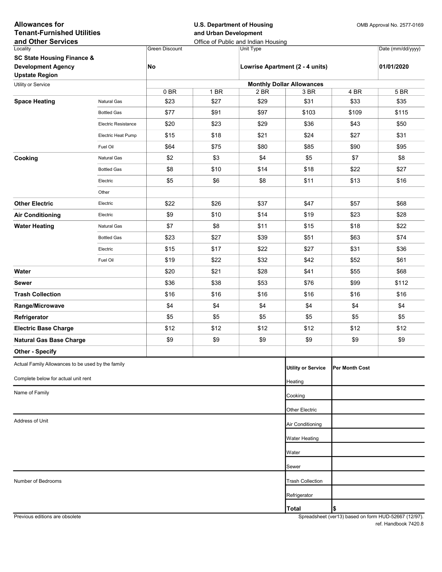| <b>Allowances for</b><br><b>Tenant-Furnished Utilities</b><br>and Other Services |                            |                       | <b>U.S. Department of Housing</b><br>and Urban Development | Office of Public and Indian Housing |                                 |                 | OMB Approval No. 2577-0169 |  |  |  |  |
|----------------------------------------------------------------------------------|----------------------------|-----------------------|------------------------------------------------------------|-------------------------------------|---------------------------------|-----------------|----------------------------|--|--|--|--|
| Locality                                                                         |                            | <b>Green Discount</b> |                                                            | Unit Type                           |                                 |                 | Date (mm/dd/yyyy)          |  |  |  |  |
| <b>SC State Housing Finance &amp;</b>                                            |                            |                       |                                                            |                                     |                                 |                 |                            |  |  |  |  |
| <b>Development Agency</b><br><b>Upstate Region</b>                               |                            | No                    |                                                            |                                     | Lowrise Apartment (2 - 4 units) |                 | 01/01/2020                 |  |  |  |  |
| Utility or Service                                                               |                            |                       | <b>Monthly Dollar Allowances</b>                           |                                     |                                 |                 |                            |  |  |  |  |
|                                                                                  |                            | 0BR                   | 1 BR                                                       | 2 BR                                | 3 BR                            | 4 BR            | 5 BR                       |  |  |  |  |
| <b>Space Heating</b>                                                             | Natural Gas                | \$23                  | \$27                                                       | \$29                                | \$31                            | \$33            | \$35                       |  |  |  |  |
|                                                                                  | <b>Bottled Gas</b>         | \$77                  | \$91                                                       | \$97                                | \$103                           | \$109           | \$115                      |  |  |  |  |
|                                                                                  | <b>Electric Resistance</b> | \$20                  | \$23                                                       | \$29                                | \$36                            | \$43            | \$50                       |  |  |  |  |
|                                                                                  | Electric Heat Pump         | \$15                  | \$18                                                       | \$21                                | \$24                            | \$27            | \$31                       |  |  |  |  |
|                                                                                  | Fuel Oil                   | \$64                  | \$75                                                       | \$80                                | \$85                            | \$90            | \$95                       |  |  |  |  |
| Cooking                                                                          | Natural Gas                | \$2                   | \$3                                                        | \$4                                 | \$5                             | \$7             | \$8                        |  |  |  |  |
|                                                                                  | <b>Bottled Gas</b>         | \$8                   | \$10                                                       | \$14                                | \$18                            | \$22            | \$27                       |  |  |  |  |
|                                                                                  | Electric                   | \$5                   | \$6                                                        | \$8                                 | \$11                            | \$13            | \$16                       |  |  |  |  |
|                                                                                  | Other                      |                       |                                                            |                                     |                                 |                 |                            |  |  |  |  |
| <b>Other Electric</b>                                                            | Electric                   | \$22                  | \$26                                                       | \$37                                | \$47                            | \$57            | \$68                       |  |  |  |  |
| <b>Air Conditioning</b>                                                          | Electric                   | \$9                   | \$10                                                       | \$14                                | \$19                            | \$23            | \$28                       |  |  |  |  |
| <b>Water Heating</b>                                                             | Natural Gas                | \$7                   | \$8                                                        | \$11                                | \$15                            | \$18            | \$22                       |  |  |  |  |
|                                                                                  | <b>Bottled Gas</b>         | \$23                  | \$27                                                       | \$39                                | \$51                            | \$63            | \$74                       |  |  |  |  |
|                                                                                  | Electric                   | \$15                  | \$17                                                       | \$22                                | \$27                            | \$31            | \$36                       |  |  |  |  |
|                                                                                  | Fuel Oil                   | \$19                  | \$22                                                       | \$32                                | \$42                            | \$52            | \$61                       |  |  |  |  |
| Water                                                                            |                            | \$20                  | \$21                                                       | \$28                                | \$41                            | \$55            | \$68                       |  |  |  |  |
|                                                                                  |                            |                       |                                                            |                                     |                                 |                 |                            |  |  |  |  |
| <b>Sewer</b>                                                                     |                            | \$36                  | \$38                                                       | \$53                                | \$76                            | \$99            | \$112                      |  |  |  |  |
| <b>Trash Collection</b>                                                          |                            | \$16                  | \$16                                                       | \$16                                | \$16                            | \$16            | \$16                       |  |  |  |  |
| Range/Microwave                                                                  |                            | \$4                   | \$4                                                        | \$4                                 | \$4                             | \$4             | \$4                        |  |  |  |  |
| Refrigerator                                                                     |                            | \$5                   | \$5                                                        | \$5                                 | \$5                             | \$5             | \$5                        |  |  |  |  |
| <b>Electric Base Charge</b>                                                      |                            | \$12                  | \$12                                                       | \$12                                | \$12                            | \$12            | \$12                       |  |  |  |  |
| <b>Natural Gas Base Charge</b>                                                   |                            | \$9                   | \$9                                                        | \$9                                 | \$9                             | \$9             | \$9                        |  |  |  |  |
| <b>Other - Specify</b>                                                           |                            |                       |                                                            |                                     |                                 |                 |                            |  |  |  |  |
| Actual Family Allowances to be used by the family                                |                            |                       |                                                            |                                     | <b>Utility or Service</b>       | IPer Month Cost |                            |  |  |  |  |
| Complete below for actual unit rent                                              |                            |                       |                                                            |                                     | Heating                         |                 |                            |  |  |  |  |
| Name of Family                                                                   |                            |                       |                                                            |                                     | Cooking                         |                 |                            |  |  |  |  |
|                                                                                  |                            |                       |                                                            |                                     | Other Electric                  |                 |                            |  |  |  |  |
| Address of Unit                                                                  |                            |                       | Air Conditioning                                           |                                     |                                 |                 |                            |  |  |  |  |
|                                                                                  |                            |                       |                                                            |                                     |                                 |                 |                            |  |  |  |  |
|                                                                                  |                            |                       |                                                            |                                     | Water Heating                   |                 |                            |  |  |  |  |
|                                                                                  |                            |                       |                                                            |                                     | Water                           |                 |                            |  |  |  |  |
|                                                                                  |                            |                       |                                                            |                                     | Sewer                           |                 |                            |  |  |  |  |
| Number of Bedrooms                                                               |                            |                       |                                                            |                                     | <b>Trash Collection</b>         |                 |                            |  |  |  |  |
|                                                                                  |                            |                       |                                                            |                                     | Refrigerator                    |                 |                            |  |  |  |  |
|                                                                                  |                            |                       |                                                            |                                     | <b>Total</b>                    | \$              |                            |  |  |  |  |

Previous editions are obsolete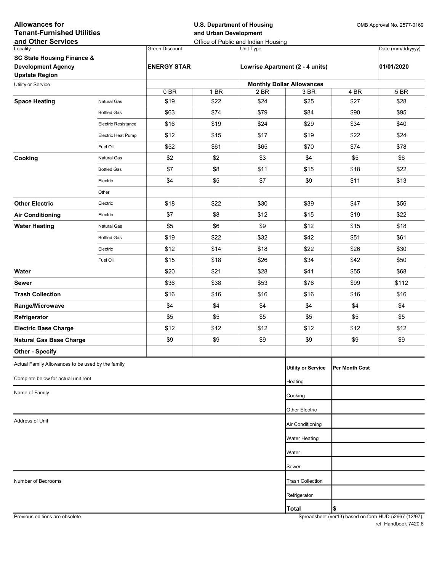| <b>Allowances for</b><br><b>Tenant-Furnished Utilities</b><br>and Other Services |                            |                    | <b>U.S. Department of Housing</b><br>and Urban Development<br>Office of Public and Indian Housing |           |                                  |                       | OMB Approval No. 2577-0169 |
|----------------------------------------------------------------------------------|----------------------------|--------------------|---------------------------------------------------------------------------------------------------|-----------|----------------------------------|-----------------------|----------------------------|
| Locality                                                                         |                            | Green Discount     |                                                                                                   | Unit Type |                                  |                       | Date (mm/dd/yyyy)          |
| <b>SC State Housing Finance &amp;</b>                                            |                            |                    |                                                                                                   |           |                                  |                       |                            |
| <b>Development Agency</b><br><b>Upstate Region</b>                               |                            | <b>ENERGY STAR</b> |                                                                                                   |           | Lowrise Apartment (2 - 4 units)  |                       | 01/01/2020                 |
| Utility or Service                                                               |                            |                    |                                                                                                   |           | <b>Monthly Dollar Allowances</b> |                       |                            |
|                                                                                  |                            | 0BR                | 1 BR                                                                                              | 2 BR      | 3 BR                             | 4 BR                  | 5 BR                       |
| <b>Space Heating</b>                                                             | <b>Natural Gas</b>         | \$19               | \$22                                                                                              | \$24      | \$25                             | \$27                  | \$28                       |
|                                                                                  | <b>Bottled Gas</b>         | \$63               | \$74                                                                                              | \$79      | \$84                             | \$90                  | \$95                       |
|                                                                                  | <b>Electric Resistance</b> | \$16               | \$19                                                                                              | \$24      | \$29                             | \$34                  | \$40                       |
|                                                                                  | Electric Heat Pump         | \$12               | \$15                                                                                              | \$17      | \$19                             | \$22                  | \$24                       |
|                                                                                  | Fuel Oil                   | \$52               | \$61                                                                                              | \$65      | \$70                             | \$74                  | \$78                       |
| Cooking                                                                          | <b>Natural Gas</b>         | \$2                | \$2                                                                                               | \$3       | \$4                              | \$5                   | \$6                        |
|                                                                                  | <b>Bottled Gas</b>         | \$7                | \$8                                                                                               | \$11      | \$15                             | \$18                  | \$22                       |
|                                                                                  | Electric                   | \$4                | \$5                                                                                               | \$7       | \$9                              | \$11                  | \$13                       |
|                                                                                  | Other                      |                    |                                                                                                   |           |                                  |                       |                            |
| <b>Other Electric</b>                                                            | Electric                   | \$18               | \$22                                                                                              | \$30      | \$39                             | \$47                  | \$56                       |
| <b>Air Conditioning</b>                                                          | Electric                   | \$7                | \$8                                                                                               | \$12      | \$15                             | \$19                  | \$22                       |
| <b>Water Heating</b>                                                             | Natural Gas                | \$5                | \$6                                                                                               | \$9       | \$12                             | \$15                  | \$18                       |
|                                                                                  | <b>Bottled Gas</b>         | \$19               | \$22                                                                                              | \$32      | \$42                             | \$51                  | \$61                       |
|                                                                                  | Electric                   | \$12               | \$14                                                                                              | \$18      | \$22                             | \$26                  | \$30                       |
|                                                                                  | Fuel Oil                   | \$15               | \$18                                                                                              | \$26      | \$34                             | \$42                  | \$50                       |
| Water                                                                            |                            | \$20               | \$21                                                                                              | \$28      | \$41                             | \$55                  | \$68                       |
| <b>Sewer</b>                                                                     |                            | \$36               | \$38                                                                                              | \$53      | \$76                             | \$99                  | \$112                      |
| <b>Trash Collection</b>                                                          |                            | \$16               | \$16                                                                                              | \$16      | \$16                             | \$16                  | \$16                       |
| Range/Microwave                                                                  |                            | \$4                | \$4                                                                                               | \$4       | \$4                              | \$4                   | \$4                        |
| Refrigerator                                                                     |                            | \$5                | \$5                                                                                               | \$5       | \$5                              | \$5                   | \$5                        |
| <b>Electric Base Charge</b>                                                      |                            | \$12               | \$12                                                                                              | \$12      | \$12                             | \$12                  | \$12                       |
| <b>Natural Gas Base Charge</b>                                                   |                            | \$9                | \$9                                                                                               | \$9       | \$9                              | \$9                   | \$9                        |
| <b>Other - Specify</b>                                                           |                            |                    |                                                                                                   |           |                                  |                       |                            |
| Actual Family Allowances to be used by the family                                |                            |                    |                                                                                                   |           | <b>Utility or Service</b>        | <b>Per Month Cost</b> |                            |
| Complete below for actual unit rent                                              |                            |                    |                                                                                                   |           | Heating                          |                       |                            |
| Name of Family                                                                   |                            |                    |                                                                                                   |           | Cooking                          |                       |                            |
|                                                                                  |                            |                    |                                                                                                   |           |                                  |                       |                            |
|                                                                                  |                            |                    |                                                                                                   |           | Other Electric                   |                       |                            |
| Address of Unit                                                                  |                            |                    |                                                                                                   |           | Air Conditioning                 |                       |                            |
|                                                                                  |                            |                    |                                                                                                   |           | Water Heating                    |                       |                            |
|                                                                                  |                            |                    |                                                                                                   |           | Water                            |                       |                            |
|                                                                                  |                            |                    |                                                                                                   |           | Sewer                            |                       |                            |
| Number of Bedrooms                                                               |                            |                    |                                                                                                   |           | <b>Trash Collection</b>          |                       |                            |
|                                                                                  |                            |                    |                                                                                                   |           | Refrigerator                     |                       |                            |
|                                                                                  |                            |                    |                                                                                                   |           | <b>Total</b>                     | \$                    |                            |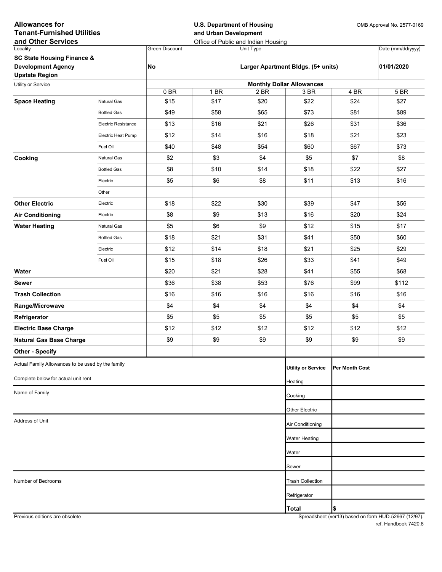| <b>Allowances for</b><br><b>Tenant-Furnished Utilities</b><br>and Other Services |                            |                                  | <b>U.S. Department of Housing</b><br>and Urban Development | Office of Public and Indian Housing | OMB Approval No. 2577-0169         |                 |                   |  |  |  |
|----------------------------------------------------------------------------------|----------------------------|----------------------------------|------------------------------------------------------------|-------------------------------------|------------------------------------|-----------------|-------------------|--|--|--|
| Locality                                                                         |                            | <b>Green Discount</b>            |                                                            | Unit Type                           |                                    |                 | Date (mm/dd/yyyy) |  |  |  |
| <b>SC State Housing Finance &amp;</b>                                            |                            |                                  |                                                            |                                     |                                    |                 |                   |  |  |  |
| <b>Development Agency</b><br><b>Upstate Region</b>                               |                            | No                               |                                                            |                                     | Larger Apartment Bldgs. (5+ units) |                 | 01/01/2020        |  |  |  |
| Utility or Service                                                               |                            | <b>Monthly Dollar Allowances</b> |                                                            |                                     |                                    |                 |                   |  |  |  |
|                                                                                  |                            | 0BR                              | 1 BR                                                       | 2 BR                                | 3 BR                               | 4 BR            | 5 BR              |  |  |  |
| <b>Space Heating</b>                                                             | Natural Gas                | \$15                             | \$17                                                       | \$20                                | \$22                               | \$24            | \$27              |  |  |  |
|                                                                                  | <b>Bottled Gas</b>         | \$49                             | \$58                                                       | \$65                                | \$73                               | \$81            | \$89              |  |  |  |
|                                                                                  | <b>Electric Resistance</b> | \$13                             | \$16                                                       | \$21                                | \$26                               | \$31            | \$36              |  |  |  |
|                                                                                  | Electric Heat Pump         | \$12                             | \$14                                                       | \$16                                | \$18                               | \$21            | \$23              |  |  |  |
|                                                                                  | Fuel Oil                   | \$40                             | \$48                                                       | \$54                                | \$60                               | \$67            | \$73              |  |  |  |
| Cooking                                                                          | Natural Gas                | \$2                              | \$3                                                        | \$4                                 | \$5                                | \$7             | \$8               |  |  |  |
|                                                                                  | <b>Bottled Gas</b>         | \$8                              | \$10                                                       | \$14                                | \$18                               | \$22            | \$27              |  |  |  |
|                                                                                  | Electric                   | \$5                              | \$6                                                        | \$8                                 | \$11                               | \$13            | \$16              |  |  |  |
|                                                                                  | Other                      |                                  |                                                            |                                     |                                    |                 |                   |  |  |  |
| <b>Other Electric</b>                                                            | Electric                   | \$18                             | \$22                                                       | \$30                                | \$39                               | \$47            | \$56              |  |  |  |
| <b>Air Conditioning</b>                                                          | Electric                   | \$8                              | \$9                                                        | \$13                                | \$16                               | \$20            | \$24              |  |  |  |
| <b>Water Heating</b>                                                             | Natural Gas                | \$5                              | \$6                                                        | \$9                                 | \$12                               | \$15            | \$17              |  |  |  |
|                                                                                  | <b>Bottled Gas</b>         | \$18                             | \$21                                                       | \$31                                | \$41                               | \$50            | \$60              |  |  |  |
|                                                                                  | Electric                   | \$12                             | \$14                                                       | \$18                                | \$21                               | \$25            | \$29              |  |  |  |
|                                                                                  | Fuel Oil                   | \$15                             | \$18                                                       | \$26                                | \$33                               | \$41            | \$49              |  |  |  |
| Water                                                                            |                            | \$20                             | \$21                                                       | \$28                                | \$41                               | \$55            | \$68              |  |  |  |
| <b>Sewer</b>                                                                     |                            | \$36                             | \$38                                                       | \$53                                | \$76                               | \$99            | \$112             |  |  |  |
| <b>Trash Collection</b>                                                          |                            | \$16                             | \$16                                                       | \$16                                | \$16                               | \$16            | \$16              |  |  |  |
| Range/Microwave                                                                  |                            | \$4                              | \$4                                                        | \$4                                 | \$4                                | \$4             | \$4               |  |  |  |
| Refrigerator                                                                     |                            | \$5                              | \$5                                                        | \$5                                 | \$5                                | \$5             | \$5               |  |  |  |
| <b>Electric Base Charge</b>                                                      |                            | \$12                             | \$12                                                       | \$12                                | \$12                               | \$12            | \$12              |  |  |  |
| <b>Natural Gas Base Charge</b>                                                   |                            | \$9                              | \$9                                                        | \$9                                 | \$9                                | \$9             | \$9               |  |  |  |
| <b>Other - Specify</b>                                                           |                            |                                  |                                                            |                                     |                                    |                 |                   |  |  |  |
| Actual Family Allowances to be used by the family                                |                            |                                  |                                                            |                                     |                                    |                 |                   |  |  |  |
|                                                                                  |                            |                                  |                                                            |                                     | <b>Utility or Service</b>          | IPer Month Cost |                   |  |  |  |
| Complete below for actual unit rent                                              |                            |                                  |                                                            |                                     | Heating                            |                 |                   |  |  |  |
| Name of Family                                                                   |                            |                                  |                                                            |                                     | Cooking                            |                 |                   |  |  |  |
|                                                                                  |                            |                                  |                                                            |                                     | Other Electric                     |                 |                   |  |  |  |
| Address of Unit                                                                  |                            |                                  |                                                            |                                     | Air Conditioning                   |                 |                   |  |  |  |
|                                                                                  |                            |                                  |                                                            |                                     |                                    |                 |                   |  |  |  |
|                                                                                  |                            |                                  |                                                            |                                     | Water Heating                      |                 |                   |  |  |  |
|                                                                                  |                            |                                  |                                                            |                                     | Water                              |                 |                   |  |  |  |
|                                                                                  |                            |                                  |                                                            |                                     | Sewer                              |                 |                   |  |  |  |
| Number of Bedrooms                                                               |                            |                                  |                                                            |                                     | <b>Trash Collection</b>            |                 |                   |  |  |  |
|                                                                                  |                            |                                  |                                                            |                                     | Refrigerator                       |                 |                   |  |  |  |
|                                                                                  |                            |                                  |                                                            |                                     | <b>Total</b>                       | \$              |                   |  |  |  |

Previous editions are obsolete